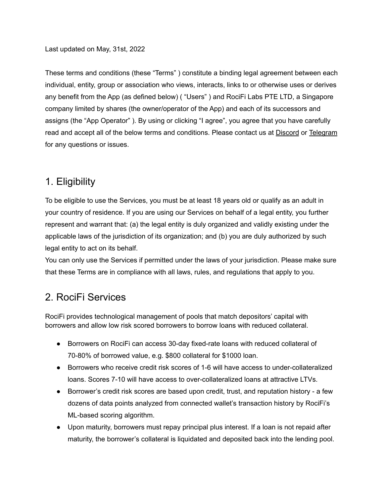Last updated on May, 31st, 2022

These terms and conditions (these "Terms" ) constitute a binding legal agreement between each individual, entity, group or association who views, interacts, links to or otherwise uses or derives any benefit from the App (as defined below) ( "Users" ) and RociFi Labs PTE LTD, a Singapore company limited by shares (the owner/operator of the App) and each of its successors and assigns (the "App Operator" ). By using or clicking "I agree", you agree that you have carefully read and accept all of the below terms and conditions. Please contact us at [Discord](http://discord.gg/tGgKkSqHZz) or [Telegram](https://t.me/RociFi) for any questions or issues.

## 1. Eligibility

To be eligible to use the Services, you must be at least 18 years old or qualify as an adult in your country of residence. If you are using our Services on behalf of a legal entity, you further represent and warrant that: (a) the legal entity is duly organized and validly existing under the applicable laws of the jurisdiction of its organization; and (b) you are duly authorized by such legal entity to act on its behalf.

You can only use the Services if permitted under the laws of your jurisdiction. Please make sure that these Terms are in compliance with all laws, rules, and regulations that apply to you.

# 2. RociFi Services

RociFi provides technological management of pools that match depositors' capital with borrowers and allow low risk scored borrowers to borrow loans with reduced collateral.

- Borrowers on RociFi can access 30-day fixed-rate loans with reduced collateral of 70-80% of borrowed value, e.g. \$800 collateral for \$1000 loan.
- Borrowers who receive credit risk scores of 1-6 will have access to under-collateralized loans. Scores 7-10 will have access to over-collateralized loans at attractive LTVs.
- Borrower's credit risk scores are based upon credit, trust, and reputation history a few dozens of data points analyzed from connected wallet's transaction history by RociFi's ML-based scoring algorithm.
- Upon maturity, borrowers must repay principal plus interest. If a loan is not repaid after maturity, the borrower's collateral is liquidated and deposited back into the lending pool.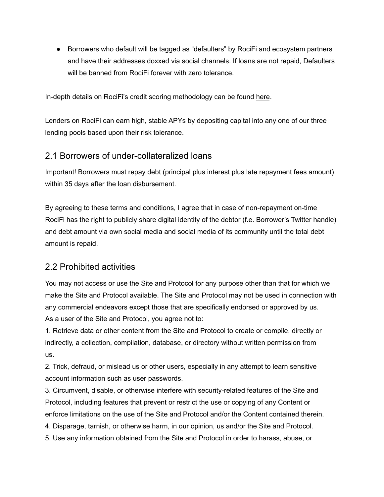● Borrowers who default will be tagged as "defaulters" by RociFi and ecosystem partners and have their addresses doxxed via social channels. If loans are not repaid, Defaulters will be banned from RociFi forever with zero tolerance.

In-depth details on RociFi's credit scoring methodology can be found [here](https://blog.roci.fi/rocifis-defi-credit-scoring-terminology-67109d2114ab).

Lenders on RociFi can earn high, stable APYs by depositing capital into any one of our three lending pools based upon their risk tolerance.

### 2.1 Borrowers of under-collateralized loans

Important! Borrowers must repay debt (principal plus interest plus late repayment fees amount) within 35 days after the loan disbursement.

By agreeing to these terms and conditions, I agree that in case of non-repayment on-time RociFi has the right to publicly share digital identity of the debtor (f.e. Borrower's Twitter handle) and debt amount via own social media and social media of its community until the total debt amount is repaid.

### 2.2 Prohibited activities

You may not access or use the Site and Protocol for any purpose other than that for which we make the Site and Protocol available. The Site and Protocol may not be used in connection with any commercial endeavors except those that are specifically endorsed or approved by us. As a user of the Site and Protocol, you agree not to:

1. Retrieve data or other content from the Site and Protocol to create or compile, directly or indirectly, a collection, compilation, database, or directory without written permission from us.

2. Trick, defraud, or mislead us or other users, especially in any attempt to learn sensitive account information such as user passwords.

3. Circumvent, disable, or otherwise interfere with security-related features of the Site and Protocol, including features that prevent or restrict the use or copying of any Content or enforce limitations on the use of the Site and Protocol and/or the Content contained therein.

4. Disparage, tarnish, or otherwise harm, in our opinion, us and/or the Site and Protocol.

5. Use any information obtained from the Site and Protocol in order to harass, abuse, or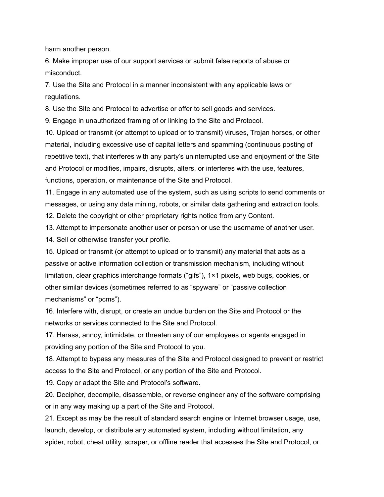harm another person.

6. Make improper use of our support services or submit false reports of abuse or misconduct.

7. Use the Site and Protocol in a manner inconsistent with any applicable laws or regulations.

8. Use the Site and Protocol to advertise or offer to sell goods and services.

9. Engage in unauthorized framing of or linking to the Site and Protocol.

10. Upload or transmit (or attempt to upload or to transmit) viruses, Trojan horses, or other material, including excessive use of capital letters and spamming (continuous posting of repetitive text), that interferes with any party's uninterrupted use and enjoyment of the Site and Protocol or modifies, impairs, disrupts, alters, or interferes with the use, features, functions, operation, or maintenance of the Site and Protocol.

11. Engage in any automated use of the system, such as using scripts to send comments or messages, or using any data mining, robots, or similar data gathering and extraction tools.

12. Delete the copyright or other proprietary rights notice from any Content.

13. Attempt to impersonate another user or person or use the username of another user.

14. Sell or otherwise transfer your profile.

15. Upload or transmit (or attempt to upload or to transmit) any material that acts as a passive or active information collection or transmission mechanism, including without limitation, clear graphics interchange formats ("gifs"), 1×1 pixels, web bugs, cookies, or other similar devices (sometimes referred to as "spyware" or "passive collection mechanisms" or "pcms").

16. Interfere with, disrupt, or create an undue burden on the Site and Protocol or the networks or services connected to the Site and Protocol.

17. Harass, annoy, intimidate, or threaten any of our employees or agents engaged in providing any portion of the Site and Protocol to you.

18. Attempt to bypass any measures of the Site and Protocol designed to prevent or restrict access to the Site and Protocol, or any portion of the Site and Protocol.

19. Copy or adapt the Site and Protocol's software.

20. Decipher, decompile, disassemble, or reverse engineer any of the software comprising or in any way making up a part of the Site and Protocol.

21. Except as may be the result of standard search engine or Internet browser usage, use, launch, develop, or distribute any automated system, including without limitation, any spider, robot, cheat utility, scraper, or offline reader that accesses the Site and Protocol, or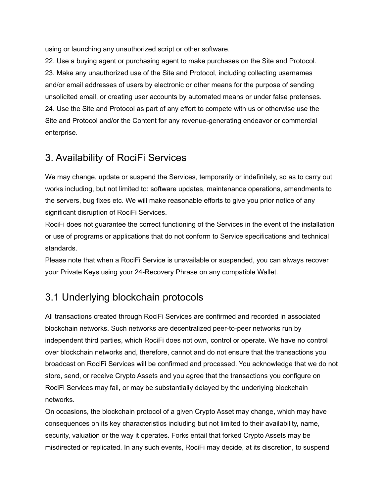using or launching any unauthorized script or other software.

22. Use a buying agent or purchasing agent to make purchases on the Site and Protocol. 23. Make any unauthorized use of the Site and Protocol, including collecting usernames and/or email addresses of users by electronic or other means for the purpose of sending unsolicited email, or creating user accounts by automated means or under false pretenses. 24. Use the Site and Protocol as part of any effort to compete with us or otherwise use the Site and Protocol and/or the Content for any revenue-generating endeavor or commercial enterprise.

## 3. Availability of RociFi Services

We may change, update or suspend the Services, temporarily or indefinitely, so as to carry out works including, but not limited to: software updates, maintenance operations, amendments to the servers, bug fixes etc. We will make reasonable efforts to give you prior notice of any significant disruption of RociFi Services.

RociFi does not guarantee the correct functioning of the Services in the event of the installation or use of programs or applications that do not conform to Service specifications and technical standards.

Please note that when a RociFi Service is unavailable or suspended, you can always recover your Private Keys using your 24-Recovery Phrase on any compatible Wallet.

# 3.1 Underlying blockchain protocols

All transactions created through RociFi Services are confirmed and recorded in associated blockchain networks. Such networks are decentralized peer-to-peer networks run by independent third parties, which RociFi does not own, control or operate. We have no control over blockchain networks and, therefore, cannot and do not ensure that the transactions you broadcast on RociFi Services will be confirmed and processed. You acknowledge that we do not store, send, or receive Crypto Assets and you agree that the transactions you configure on RociFi Services may fail, or may be substantially delayed by the underlying blockchain networks.

On occasions, the blockchain protocol of a given Crypto Asset may change, which may have consequences on its key characteristics including but not limited to their availability, name, security, valuation or the way it operates. Forks entail that forked Crypto Assets may be misdirected or replicated. In any such events, RociFi may decide, at its discretion, to suspend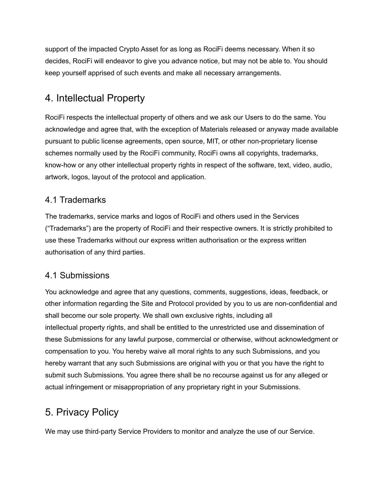support of the impacted Crypto Asset for as long as RociFi deems necessary. When it so decides, RociFi will endeavor to give you advance notice, but may not be able to. You should keep yourself apprised of such events and make all necessary arrangements.

## 4. Intellectual Property

RociFi respects the intellectual property of others and we ask our Users to do the same. You acknowledge and agree that, with the exception of Materials released or anyway made available pursuant to public license agreements, open source, MIT, or other non-proprietary license schemes normally used by the RociFi community, RociFi owns all copyrights, trademarks, know-how or any other intellectual property rights in respect of the software, text, video, audio, artwork, logos, layout of the protocol and application.

### 4.1 Trademarks

The trademarks, service marks and logos of RociFi and others used in the Services ("Trademarks") are the property of RociFi and their respective owners. It is strictly prohibited to use these Trademarks without our express written authorisation or the express written authorisation of any third parties.

### 4.1 Submissions

You acknowledge and agree that any questions, comments, suggestions, ideas, feedback, or other information regarding the Site and Protocol provided by you to us are non-confidential and shall become our sole property. We shall own exclusive rights, including all intellectual property rights, and shall be entitled to the unrestricted use and dissemination of these Submissions for any lawful purpose, commercial or otherwise, without acknowledgment or compensation to you. You hereby waive all moral rights to any such Submissions, and you hereby warrant that any such Submissions are original with you or that you have the right to submit such Submissions. You agree there shall be no recourse against us for any alleged or actual infringement or misappropriation of any proprietary right in your Submissions.

## 5. Privacy Policy

We may use third-party Service Providers to monitor and analyze the use of our Service.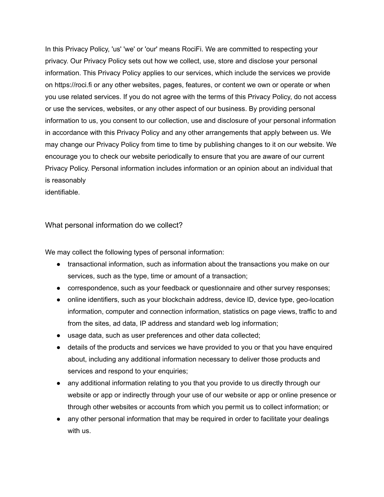In this Privacy Policy, 'us' 'we' or 'our' means RociFi. We are committed to respecting your privacy. Our Privacy Policy sets out how we collect, use, store and disclose your personal information. This Privacy Policy applies to our services, which include the services we provide on https://roci.fi or any other websites, pages, features, or content we own or operate or when you use related services. If you do not agree with the terms of this Privacy Policy, do not access or use the services, websites, or any other aspect of our business. By providing personal information to us, you consent to our collection, use and disclosure of your personal information in accordance with this Privacy Policy and any other arrangements that apply between us. We may change our Privacy Policy from time to time by publishing changes to it on our website. We encourage you to check our website periodically to ensure that you are aware of our current Privacy Policy. Personal information includes information or an opinion about an individual that is reasonably

identifiable.

#### What personal information do we collect?

We may collect the following types of personal information:

- transactional information, such as information about the transactions you make on our services, such as the type, time or amount of a transaction;
- correspondence, such as your feedback or questionnaire and other survey responses;
- online identifiers, such as your blockchain address, device ID, device type, geo-location information, computer and connection information, statistics on page views, traffic to and from the sites, ad data, IP address and standard web log information;
- usage data, such as user preferences and other data collected;
- details of the products and services we have provided to you or that you have enquired about, including any additional information necessary to deliver those products and services and respond to your enquiries;
- any additional information relating to you that you provide to us directly through our website or app or indirectly through your use of our website or app or online presence or through other websites or accounts from which you permit us to collect information; or
- any other personal information that may be required in order to facilitate your dealings with us.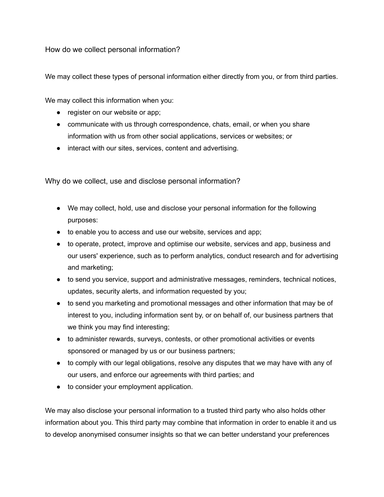How do we collect personal information?

We may collect these types of personal information either directly from you, or from third parties.

We may collect this information when you:

- register on our website or app;
- communicate with us through correspondence, chats, email, or when you share information with us from other social applications, services or websites; or
- interact with our sites, services, content and advertising.

Why do we collect, use and disclose personal information?

- We may collect, hold, use and disclose your personal information for the following purposes:
- to enable you to access and use our website, services and app;
- to operate, protect, improve and optimise our website, services and app, business and our users' experience, such as to perform analytics, conduct research and for advertising and marketing;
- to send you service, support and administrative messages, reminders, technical notices, updates, security alerts, and information requested by you;
- to send you marketing and promotional messages and other information that may be of interest to you, including information sent by, or on behalf of, our business partners that we think you may find interesting;
- to administer rewards, surveys, contests, or other promotional activities or events sponsored or managed by us or our business partners;
- to comply with our legal obligations, resolve any disputes that we may have with any of our users, and enforce our agreements with third parties; and
- to consider your employment application.

We may also disclose your personal information to a trusted third party who also holds other information about you. This third party may combine that information in order to enable it and us to develop anonymised consumer insights so that we can better understand your preferences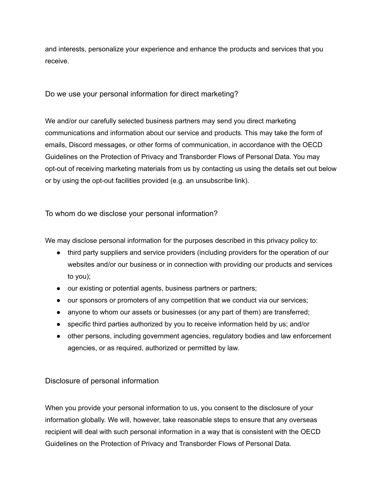and interests, personalize your experience and enhance the products and services that you receive.

Do we use your personal information for direct marketing?

We and/or our carefully selected business partners may send you direct marketing communications and information about our service and products. This may take the form of emails, Discord messages, or other forms of communication, in accordance with the OECD Guidelines on the Protection of Privacy and Transborder Flows of Personal Data. You may opt-out of receiving marketing materials from us by contacting us using the details set out below or by using the opt-out facilities provided (e.g. an unsubscribe link).

To whom do we disclose your personal information?

We may disclose personal information for the purposes described in this privacy policy to:

- third party suppliers and service providers (including providers for the operation of our websites and/or our business or in connection with providing our products and services to you);
- our existing or potential agents, business partners or partners;
- our sponsors or promoters of any competition that we conduct via our services;
- anyone to whom our assets or businesses (or any part of them) are transferred;
- specific third parties authorized by you to receive information held by us; and/or
- other persons, including government agencies, regulatory bodies and law enforcement agencies, or as required, authorized or permitted by law.

#### Disclosure of personal information

When you provide your personal information to us, you consent to the disclosure of your information globally. We will, however, take reasonable steps to ensure that any overseas recipient will deal with such personal information in a way that is consistent with the OECD Guidelines on the Protection of Privacy and Transborder Flows of Personal Data.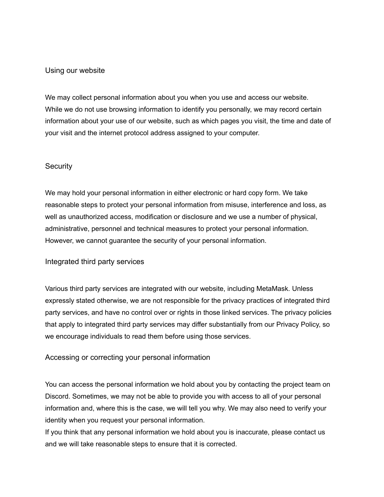#### Using our website

We may collect personal information about you when you use and access our website. While we do not use browsing information to identify you personally, we may record certain information about your use of our website, such as which pages you visit, the time and date of your visit and the internet protocol address assigned to your computer.

#### **Security**

We may hold your personal information in either electronic or hard copy form. We take reasonable steps to protect your personal information from misuse, interference and loss, as well as unauthorized access, modification or disclosure and we use a number of physical, administrative, personnel and technical measures to protect your personal information. However, we cannot guarantee the security of your personal information.

#### Integrated third party services

Various third party services are integrated with our website, including MetaMask. Unless expressly stated otherwise, we are not responsible for the privacy practices of integrated third party services, and have no control over or rights in those linked services. The privacy policies that apply to integrated third party services may differ substantially from our Privacy Policy, so we encourage individuals to read them before using those services.

#### Accessing or correcting your personal information

You can access the personal information we hold about you by contacting the project team on Discord. Sometimes, we may not be able to provide you with access to all of your personal information and, where this is the case, we will tell you why. We may also need to verify your identity when you request your personal information.

If you think that any personal information we hold about you is inaccurate, please contact us and we will take reasonable steps to ensure that it is corrected.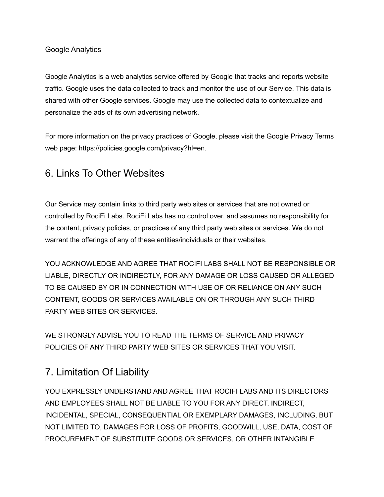#### Google Analytics

Google Analytics is a web analytics service offered by Google that tracks and reports website traffic. Google uses the data collected to track and monitor the use of our Service. This data is shared with other Google services. Google may use the collected data to contextualize and personalize the ads of its own advertising network.

For more information on the privacy practices of Google, please visit the Google Privacy Terms web page: https://policies.google.com/privacy?hl=en.

### 6. Links To Other Websites

Our Service may contain links to third party web sites or services that are not owned or controlled by RociFi Labs. RociFi Labs has no control over, and assumes no responsibility for the content, privacy policies, or practices of any third party web sites or services. We do not warrant the offerings of any of these entities/individuals or their websites.

YOU ACKNOWLEDGE AND AGREE THAT ROCIFI LABS SHALL NOT BE RESPONSIBLE OR LIABLE, DIRECTLY OR INDIRECTLY, FOR ANY DAMAGE OR LOSS CAUSED OR ALLEGED TO BE CAUSED BY OR IN CONNECTION WITH USE OF OR RELIANCE ON ANY SUCH CONTENT, GOODS OR SERVICES AVAILABLE ON OR THROUGH ANY SUCH THIRD PARTY WEB SITES OR SERVICES.

WE STRONGLY ADVISE YOU TO READ THE TERMS OF SERVICE AND PRIVACY POLICIES OF ANY THIRD PARTY WEB SITES OR SERVICES THAT YOU VISIT.

# 7. Limitation Of Liability

YOU EXPRESSLY UNDERSTAND AND AGREE THAT ROCIFI LABS AND ITS DIRECTORS AND EMPLOYEES SHALL NOT BE LIABLE TO YOU FOR ANY DIRECT, INDIRECT, INCIDENTAL, SPECIAL, CONSEQUENTIAL OR EXEMPLARY DAMAGES, INCLUDING, BUT NOT LIMITED TO, DAMAGES FOR LOSS OF PROFITS, GOODWILL, USE, DATA, COST OF PROCUREMENT OF SUBSTITUTE GOODS OR SERVICES, OR OTHER INTANGIBLE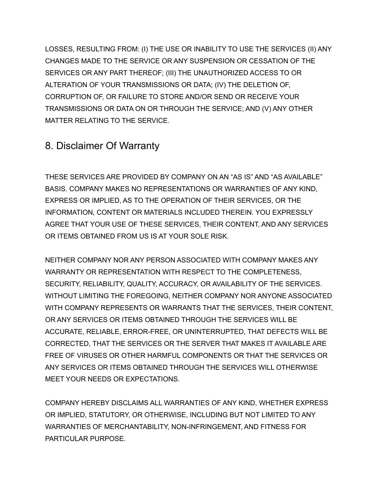LOSSES, RESULTING FROM: (I) THE USE OR INABILITY TO USE THE SERVICES (II) ANY CHANGES MADE TO THE SERVICE OR ANY SUSPENSION OR CESSATION OF THE SERVICES OR ANY PART THEREOF; (III) THE UNAUTHORIZED ACCESS TO OR ALTERATION OF YOUR TRANSMISSIONS OR DATA; (IV) THE DELETION OF, CORRUPTION OF, OR FAILURE TO STORE AND/OR SEND OR RECEIVE YOUR TRANSMISSIONS OR DATA ON OR THROUGH THE SERVICE; AND (V) ANY OTHER MATTER RELATING TO THE SERVICE.

## 8. Disclaimer Of Warranty

THESE SERVICES ARE PROVIDED BY COMPANY ON AN "AS IS" AND "AS AVAILABLE" BASIS. COMPANY MAKES NO REPRESENTATIONS OR WARRANTIES OF ANY KIND, EXPRESS OR IMPLIED, AS TO THE OPERATION OF THEIR SERVICES, OR THE INFORMATION, CONTENT OR MATERIALS INCLUDED THEREIN. YOU EXPRESSLY AGREE THAT YOUR USE OF THESE SERVICES, THEIR CONTENT, AND ANY SERVICES OR ITEMS OBTAINED FROM US IS AT YOUR SOLE RISK.

NEITHER COMPANY NOR ANY PERSON ASSOCIATED WITH COMPANY MAKES ANY WARRANTY OR REPRESENTATION WITH RESPECT TO THE COMPLETENESS, SECURITY, RELIABILITY, QUALITY, ACCURACY, OR AVAILABILITY OF THE SERVICES. WITHOUT LIMITING THE FOREGOING, NEITHER COMPANY NOR ANYONE ASSOCIATED WITH COMPANY REPRESENTS OR WARRANTS THAT THE SERVICES, THEIR CONTENT, OR ANY SERVICES OR ITEMS OBTAINED THROUGH THE SERVICES WILL BE ACCURATE, RELIABLE, ERROR-FREE, OR UNINTERRUPTED, THAT DEFECTS WILL BE CORRECTED, THAT THE SERVICES OR THE SERVER THAT MAKES IT AVAILABLE ARE FREE OF VIRUSES OR OTHER HARMFUL COMPONENTS OR THAT THE SERVICES OR ANY SERVICES OR ITEMS OBTAINED THROUGH THE SERVICES WILL OTHERWISE MEET YOUR NEEDS OR EXPECTATIONS.

COMPANY HEREBY DISCLAIMS ALL WARRANTIES OF ANY KIND, WHETHER EXPRESS OR IMPLIED, STATUTORY, OR OTHERWISE, INCLUDING BUT NOT LIMITED TO ANY WARRANTIES OF MERCHANTABILITY, NON-INFRINGEMENT, AND FITNESS FOR PARTICULAR PURPOSE.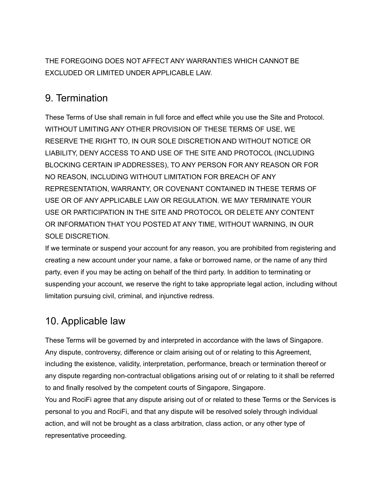THE FOREGOING DOES NOT AFFECT ANY WARRANTIES WHICH CANNOT BE EXCLUDED OR LIMITED UNDER APPLICABLE LAW.

### 9. Termination

These Terms of Use shall remain in full force and effect while you use the Site and Protocol. WITHOUT LIMITING ANY OTHER PROVISION OF THESE TERMS OF USE, WE RESERVE THE RIGHT TO, IN OUR SOLE DISCRETION AND WITHOUT NOTICE OR LIABILITY, DENY ACCESS TO AND USE OF THE SITE AND PROTOCOL (INCLUDING BLOCKING CERTAIN IP ADDRESSES), TO ANY PERSON FOR ANY REASON OR FOR NO REASON, INCLUDING WITHOUT LIMITATION FOR BREACH OF ANY REPRESENTATION, WARRANTY, OR COVENANT CONTAINED IN THESE TERMS OF USE OR OF ANY APPLICABLE LAW OR REGULATION. WE MAY TERMINATE YOUR USE OR PARTICIPATION IN THE SITE AND PROTOCOL OR DELETE ANY CONTENT OR INFORMATION THAT YOU POSTED AT ANY TIME, WITHOUT WARNING, IN OUR SOLE DISCRETION.

If we terminate or suspend your account for any reason, you are prohibited from registering and creating a new account under your name, a fake or borrowed name, or the name of any third party, even if you may be acting on behalf of the third party. In addition to terminating or suspending your account, we reserve the right to take appropriate legal action, including without limitation pursuing civil, criminal, and injunctive redress.

## 10. Applicable law

These Terms will be governed by and interpreted in accordance with the laws of Singapore. Any dispute, controversy, difference or claim arising out of or relating to this Agreement, including the existence, validity, interpretation, performance, breach or termination thereof or any dispute regarding non-contractual obligations arising out of or relating to it shall be referred to and finally resolved by the competent courts of Singapore, Singapore.

You and RociFi agree that any dispute arising out of or related to these Terms or the Services is personal to you and RociFi, and that any dispute will be resolved solely through individual action, and will not be brought as a class arbitration, class action, or any other type of representative proceeding.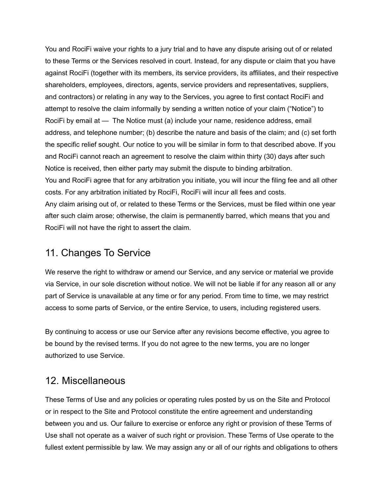You and RociFi waive your rights to a jury trial and to have any dispute arising out of or related to these Terms or the Services resolved in court. Instead, for any dispute or claim that you have against RociFi (together with its members, its service providers, its affiliates, and their respective shareholders, employees, directors, agents, service providers and representatives, suppliers, and contractors) or relating in any way to the Services, you agree to first contact RociFi and attempt to resolve the claim informally by sending a written notice of your claim ("Notice") to RociFi by email at — The Notice must (a) include your name, residence address, email address, and telephone number; (b) describe the nature and basis of the claim; and (c) set forth the specific relief sought. Our notice to you will be similar in form to that described above. If you and RociFi cannot reach an agreement to resolve the claim within thirty (30) days after such Notice is received, then either party may submit the dispute to binding arbitration. You and RociFi agree that for any arbitration you initiate, you will incur the filing fee and all other costs. For any arbitration initiated by RociFi, RociFi will incur all fees and costs. Any claim arising out of, or related to these Terms or the Services, must be filed within one year after such claim arose; otherwise, the claim is permanently barred, which means that you and RociFi will not have the right to assert the claim.

### 11. Changes To Service

We reserve the right to withdraw or amend our Service, and any service or material we provide via Service, in our sole discretion without notice. We will not be liable if for any reason all or any part of Service is unavailable at any time or for any period. From time to time, we may restrict access to some parts of Service, or the entire Service, to users, including registered users.

By continuing to access or use our Service after any revisions become effective, you agree to be bound by the revised terms. If you do not agree to the new terms, you are no longer authorized to use Service.

### 12. Miscellaneous

These Terms of Use and any policies or operating rules posted by us on the Site and Protocol or in respect to the Site and Protocol constitute the entire agreement and understanding between you and us. Our failure to exercise or enforce any right or provision of these Terms of Use shall not operate as a waiver of such right or provision. These Terms of Use operate to the fullest extent permissible by law. We may assign any or all of our rights and obligations to others